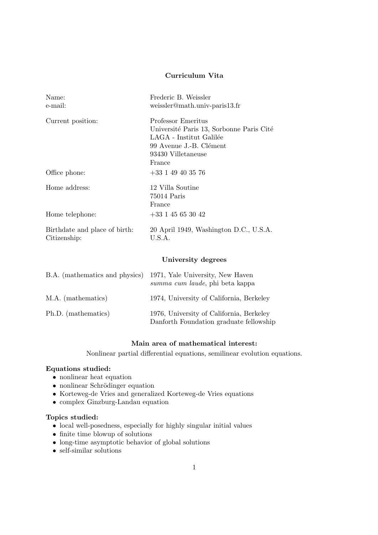# Curriculum Vita

| Name:<br>e-mail:                              | Frederic B. Weissler<br>weissler@math.univ-paris13.fr                                                                                                |
|-----------------------------------------------|------------------------------------------------------------------------------------------------------------------------------------------------------|
| Current position:                             | Professor Emeritus<br>Université Paris 13, Sorbonne Paris Cité<br>LAGA - Institut Galilée<br>99 Avenue J.-B. Clément<br>93430 Villetaneuse<br>France |
| Office phone:                                 | $+33$ 1 49 40 35 76                                                                                                                                  |
| Home address:<br>Home telephone:              | 12 Villa Soutine<br>75014 Paris<br>France<br>$+33$ 1 45 65 30 42                                                                                     |
| Birthdate and place of birth:<br>Citizenship: | 20 April 1949, Washington D.C., U.S.A.<br>U.S.A.                                                                                                     |
|                                               | University degrees                                                                                                                                   |
| B.A. (mathematics and physics)                | 1971, Yale University, New Haven<br>summa cum laude, phi beta kappa                                                                                  |

| M.A. (mathematics)  | 1974, University of California, Berkeley                                            |
|---------------------|-------------------------------------------------------------------------------------|
| Ph.D. (mathematics) | 1976, University of California, Berkeley<br>Danforth Foundation graduate fellowship |

# Main area of mathematical interest:

Nonlinear partial differential equations, semilinear evolution equations.

## Equations studied:

- nonlinear heat equation
- nonlinear Schrödinger equation
- Korteweg-de Vries and generalized Korteweg-de Vries equations
- complex Ginzburg-Landau equation

### Topics studied:

- local well-posedness, especially for highly singular initial values
- finite time blowup of solutions
- long-time asymptotic behavior of global solutions
- self-similar solutions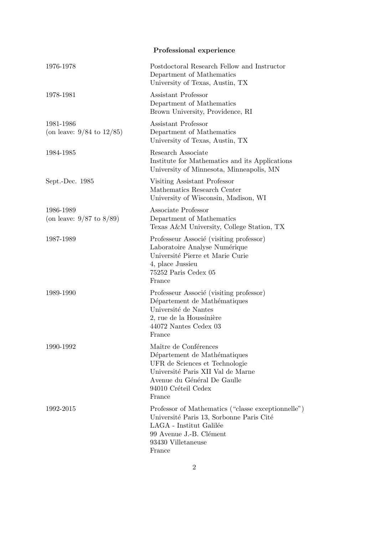|                                             | Professional experience                                                                                                                                                                      |
|---------------------------------------------|----------------------------------------------------------------------------------------------------------------------------------------------------------------------------------------------|
| 1976-1978                                   | Postdoctoral Research Fellow and Instructor<br>Department of Mathematics<br>University of Texas, Austin, TX                                                                                  |
| 1978-1981                                   | Assistant Professor<br>Department of Mathematics<br>Brown University, Providence, RI                                                                                                         |
| 1981-1986<br>(on leave: $9/84$ to $12/85$ ) | Assistant Professor<br>Department of Mathematics<br>University of Texas, Austin, TX                                                                                                          |
| 1984-1985                                   | Research Associate<br>Institute for Mathematics and its Applications<br>University of Minnesota, Minneapolis, MN                                                                             |
| Sept.-Dec. 1985                             | Visiting Assistant Professor<br>Mathematics Research Center<br>University of Wisconsin, Madison, WI                                                                                          |
| 1986-1989<br>(on leave: $9/87$ to $8/89$ )  | Associate Professor<br>Department of Mathematics<br>Texas A&M University, College Station, TX                                                                                                |
| 1987-1989                                   | Professeur Associé (visiting professor)<br>Laboratoire Analyse Numérique<br>Université Pierre et Marie Curie<br>4, place Jussieu<br>75252 Paris Cedex 05<br>France                           |
| 1989-1990                                   | Professeur Associé (visiting professor)<br>Département de Mathématiques<br>Université de Nantes<br>2, rue de la Houssinière<br>44072 Nantes Cedex 03<br>France                               |
| 1990-1992                                   | Maître de Conférences<br>Département de Mathématiques<br>UFR de Sciences et Technologie<br>Université Paris XII Val de Marne<br>Avenue du Général De Gaulle<br>94010 Créteil Cedex<br>France |
| 1992-2015                                   | Professor of Mathematics ("classe exceptionnelle")<br>Université Paris 13, Sorbonne Paris Cité<br>LAGA - Institut Galilée<br>99 Avenue J.-B. Clément<br>93430 Villetaneuse<br>France         |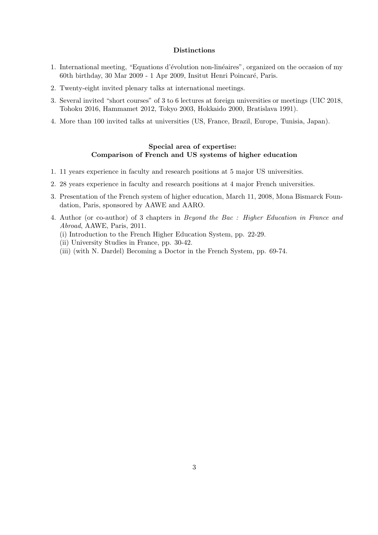### Distinctions

- 1. International meeting, "Equations d'évolution non-linéaires", organized on the occasion of my 60th birthday, 30 Mar 2009 - 1 Apr 2009, Insitut Henri Poincaré, Paris.
- 2. Twenty-eight invited plenary talks at international meetings.
- 3. Several invited "short courses" of 3 to 6 lectures at foreign universities or meetings (UIC 2018, Tohoku 2016, Hammamet 2012, Tokyo 2003, Hokkaido 2000, Bratislava 1991).
- 4. More than 100 invited talks at universities (US, France, Brazil, Europe, Tunisia, Japan).

## Special area of expertise: Comparison of French and US systems of higher education

- 1. 11 years experience in faculty and research positions at 5 major US universities.
- 2. 28 years experience in faculty and research positions at 4 major French universities.
- 3. Presentation of the French system of higher education, March 11, 2008, Mona Bismarck Foundation, Paris, sponsored by AAWE and AARO.
- 4. Author (or co-author) of 3 chapters in Beyond the Bac : Higher Education in France and Abroad, AAWE, Paris, 2011.
	- (i) Introduction to the French Higher Education System, pp. 22-29.
	- (ii) University Studies in France, pp. 30-42.
	- (iii) (with N. Dardel) Becoming a Doctor in the French System, pp. 69-74.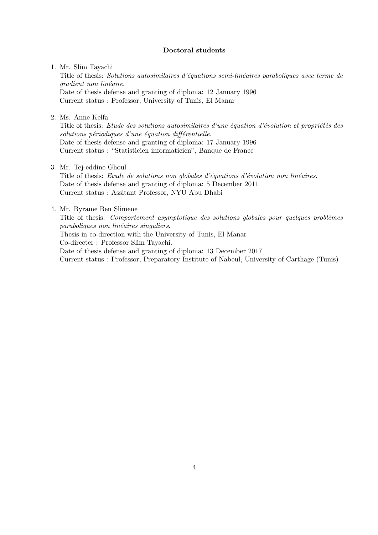### Doctoral students

#### 1. Mr. Slim Tayachi

Title of thesis: Solutions autosimilaires d'équations semi-linéaires paraboliques avec terme de gradient non linéaire. Date of thesis defense and granting of diploma: 12 January 1996 Current status : Professor, University of Tunis, El Manar

2. Ms. Anne Kelfa

Title of thesis: Etude des solutions autosimilaires d'une équation d'évolution et propriétés des  $solutions$  périodiques d'une équation différentielle. Date of thesis defense and granting of diploma: 17 January 1996 Current status : "Statisticien informaticien", Banque de France

3. Mr. Tej-eddine Ghoul

Title of thesis: Etude de solutions non globales d'équations d'évolution non linéaires. Date of thesis defense and granting of diploma: 5 December 2011 Current status : Assitant Professor, NYU Abu Dhabi

### 4. Mr. Byrame Ben Slimene

Title of thesis: *Comportement asymptotique des solutions globales pour quelques problèmes* paraboliques non linéaires singuliers.

Thesis in co-direction with the University of Tunis, El Manar Co-directer : Professor Slim Tayachi.

Date of thesis defense and granting of diploma: 13 December 2017

Current status : Professor, Preparatory Institute of Nabeul, University of Carthage (Tunis)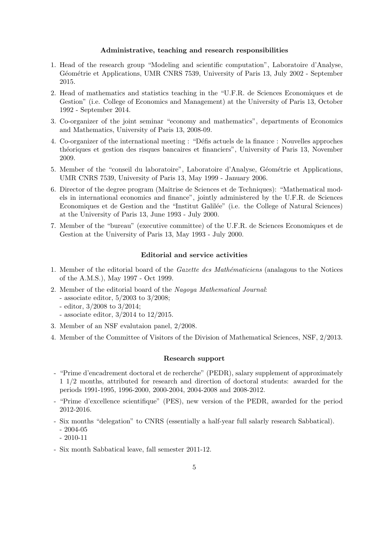#### Administrative, teaching and research responsibilities

- 1. Head of the research group "Modeling and scientific computation", Laboratoire d'Analyse, Géométrie et Applications, UMR CNRS 7539, University of Paris 13, July 2002 - September 2015.
- 2. Head of mathematics and statistics teaching in the "U.F.R. de Sciences Economiques et de Gestion" (i.e. College of Economics and Management) at the University of Paris 13, October 1992 - September 2014.
- 3. Co-organizer of the joint seminar "economy and mathematics", departments of Economics and Mathematics, University of Paris 13, 2008-09.
- 4. Co-organizer of the international meeting : "Défis actuels de la finance : Nouvelles approches th´eoriques et gestion des risques bancaires et financiers", University of Paris 13, November 2009.
- 5. Member of the "conseil du laboratoire", Laboratoire d'Analyse, Géométrie et Applications, UMR CNRS 7539, University of Paris 13, May 1999 - January 2006.
- 6. Director of the degree program (Maîtrise de Sciences et de Techniques): "Mathematical models in international economics and finance", jointly administered by the U.F.R. de Sciences Economiques et de Gestion and the "Institut Galilée" (i.e. the College of Natural Sciences) at the University of Paris 13, June 1993 - July 2000.
- 7. Member of the "bureau" (executive committee) of the U.F.R. de Sciences Economiques et de Gestion at the University of Paris 13, May 1993 - July 2000.

#### Editorial and service activities

- 1. Member of the editorial board of the *Gazette des Mathématiciens* (analagous to the Notices of the A.M.S.), May 1997 - Oct 1999.
- 2. Member of the editorial board of the Nagoya Mathematical Journal:
	- associate editor, 5/2003 to 3/2008;
	- editor, 3/2008 to 3/2014;
	- associate editor, 3/2014 to 12/2015.
- 3. Member of an NSF evalutaion panel, 2/2008.
- 4. Member of the Committee of Visitors of the Division of Mathematical Sciences, NSF, 2/2013.

#### Research support

- "Prime d'encadrement doctoral et de recherche" (PEDR), salary supplement of approximately 1 1/2 months, attributed for research and direction of doctoral students: awarded for the periods 1991-1995, 1996-2000, 2000-2004, 2004-2008 and 2008-2012.
- "Prime d'excellence scientifique" (PES), new version of the PEDR, awarded for the period 2012-2016.
- Six months "delegation" to CNRS (essentially a half-year full salarly research Sabbatical). - 2004-05
	- 2010-11
- Six month Sabbatical leave, fall semester 2011-12.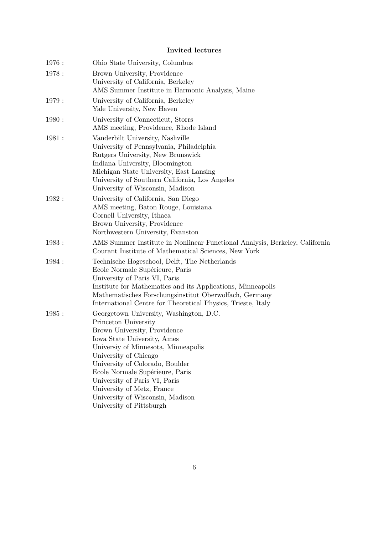# Invited lectures

| Ohio State University, Columbus                                                                                                                                                                                                                                                                                                                                                                     |
|-----------------------------------------------------------------------------------------------------------------------------------------------------------------------------------------------------------------------------------------------------------------------------------------------------------------------------------------------------------------------------------------------------|
| Brown University, Providence<br>University of California, Berkeley<br>AMS Summer Institute in Harmonic Analysis, Maine                                                                                                                                                                                                                                                                              |
| University of California, Berkeley<br>Yale University, New Haven                                                                                                                                                                                                                                                                                                                                    |
| University of Connecticut, Storrs<br>AMS meeting, Providence, Rhode Island                                                                                                                                                                                                                                                                                                                          |
| Vanderbilt University, Nashville<br>University of Pennsylvania, Philadelphia<br>Rutgers University, New Brunswick<br>Indiana University, Bloomington<br>Michigan State University, East Lansing<br>University of Southern California, Los Angeles<br>University of Wisconsin, Madison                                                                                                               |
| University of California, San Diego<br>AMS meeting, Baton Rouge, Louisiana<br>Cornell University, Ithaca<br>Brown University, Providence<br>Northwestern University, Evanston                                                                                                                                                                                                                       |
| AMS Summer Institute in Nonlinear Functional Analysis, Berkeley, California<br>Courant Institute of Mathematical Sciences, New York                                                                                                                                                                                                                                                                 |
| Technische Hogeschool, Delft, The Netherlands<br>Ecole Normale Supérieure, Paris<br>University of Paris VI, Paris<br>Institute for Mathematics and its Applications, Minneapolis<br>Mathematisches Forschungsinstitut Oberwolfach, Germany<br>International Centre for Theoretical Physics, Trieste, Italy                                                                                          |
| Georgetown University, Washington, D.C.<br>Princeton University<br>Brown University, Providence<br>Iowa State University, Ames<br>Universiy of Minnesota, Minneapolis<br>University of Chicago<br>University of Colorado, Boulder<br>Ecole Normale Supérieure, Paris<br>University of Paris VI, Paris<br>University of Metz, France<br>University of Wisconsin, Madison<br>University of Pittsburgh |
|                                                                                                                                                                                                                                                                                                                                                                                                     |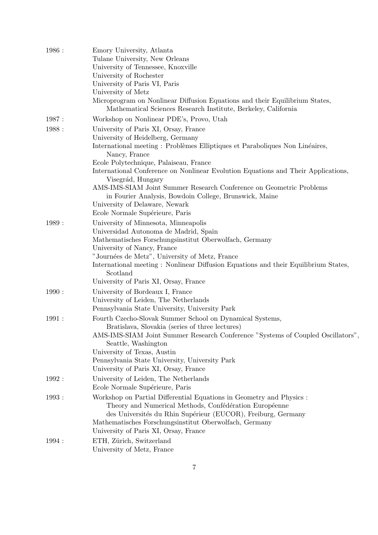| 1986 : | Emory University, Atlanta                                                                                                                     |
|--------|-----------------------------------------------------------------------------------------------------------------------------------------------|
|        | Tulane University, New Orleans                                                                                                                |
|        | University of Tennessee, Knoxville                                                                                                            |
|        | University of Rochester                                                                                                                       |
|        | University of Paris VI, Paris                                                                                                                 |
|        | University of Metz                                                                                                                            |
|        | Microprogram on Nonlinear Diffusion Equations and their Equilibrium States,<br>Mathematical Sciences Research Institute, Berkeley, California |
| 1987:  | Workshop on Nonlinear PDE's, Provo, Utah                                                                                                      |
| 1988:  | University of Paris XI, Orsay, France                                                                                                         |
|        | University of Heidelberg, Germany                                                                                                             |
|        | International meeting : Problèmes Elliptiques et Paraboliques Non Linéaires,<br>Nancy, France                                                 |
|        | Ecole Polytechnique, Palaiseau, France                                                                                                        |
|        | International Conference on Nonlinear Evolution Equations and Their Applications,<br>Visegrád, Hungary                                        |
|        | AMS-IMS-SIAM Joint Summer Research Conference on Geometric Problems<br>in Fourier Analysis, Bowdoin College, Brunswick, Maine                 |
|        | University of Delaware, Newark                                                                                                                |
|        | Ecole Normale Supérieure, Paris                                                                                                               |
| 1989:  | University of Minnesota, Minneapolis                                                                                                          |
|        | Universidad Autonoma de Madrid, Spain                                                                                                         |
|        | Mathematisches Forschungsinstitut Oberwolfach, Germany                                                                                        |
|        | University of Nancy, France                                                                                                                   |
|        | "Journées de Metz", University of Metz, France                                                                                                |
|        | International meeting: Nonlinear Diffusion Equations and their Equilibrium States,<br>Scotland                                                |
|        | University of Paris XI, Orsay, France                                                                                                         |
| 1990:  | University of Bordeaux I, France                                                                                                              |
|        | University of Leiden, The Netherlands                                                                                                         |
|        | Pennsylvania State University, University Park                                                                                                |
| 1991:  | Fourth Czecho-Slovak Summer School on Dynamical Systems,                                                                                      |
|        | Bratislava, Slovakia (series of three lectures)                                                                                               |
|        | AMS-IMS-SIAM Joint Summer Research Conference "Systems of Coupled Oscillators",<br>Seattle, Washington                                        |
|        | University of Texas, Austin                                                                                                                   |
|        | Pennsylvania State University, University Park                                                                                                |
|        | University of Paris XI, Orsay, France                                                                                                         |
| 1992 : | University of Leiden, The Netherlands<br>Ecole Normale Supérieure, Paris                                                                      |
| 1993:  | Workshop on Partial Differential Equations in Geometry and Physics :                                                                          |
|        | Theory and Numerical Methods, Confédération Européenne                                                                                        |
|        | des Universités du Rhin Supérieur (EUCOR), Freiburg, Germany                                                                                  |
|        | Mathematisches Forschungsinstitut Oberwolfach, Germany                                                                                        |
|        | University of Paris XI, Orsay, France                                                                                                         |
| 1994 : | ETH, Zürich, Switzerland                                                                                                                      |
|        | University of Metz, France                                                                                                                    |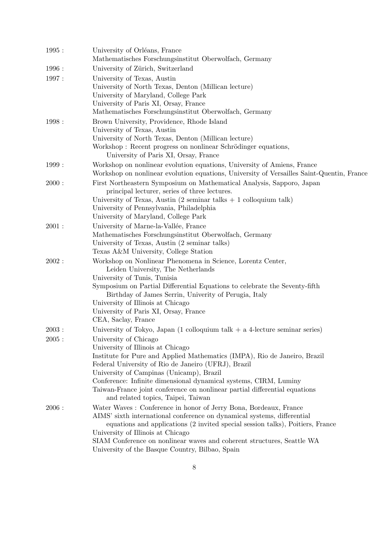| 1995:  | University of Orléans, France<br>Mathematisches Forschungsinstitut Oberwolfach, Germany                                                                                                                                                                                                                                                                                                                                            |
|--------|------------------------------------------------------------------------------------------------------------------------------------------------------------------------------------------------------------------------------------------------------------------------------------------------------------------------------------------------------------------------------------------------------------------------------------|
| 1996 : | University of Zürich, Switzerland                                                                                                                                                                                                                                                                                                                                                                                                  |
| 1997:  | University of Texas, Austin<br>University of North Texas, Denton (Millican lecture)<br>University of Maryland, College Park<br>University of Paris XI, Orsay, France<br>Mathematisches Forschungsinstitut Oberwolfach, Germany                                                                                                                                                                                                     |
| 1998 : | Brown University, Providence, Rhode Island<br>University of Texas, Austin<br>University of North Texas, Denton (Millican lecture)<br>Workshop: Recent progress on nonlinear Schrödinger equations,<br>University of Paris XI, Orsay, France                                                                                                                                                                                        |
| 1999:  | Workshop on nonlinear evolution equations, University of Amiens, France<br>Workshop on nonlinear evolution equations, University of Versailles Saint-Quentin, France                                                                                                                                                                                                                                                               |
| 2000:  | First Northeastern Symposium on Mathematical Analysis, Sapporo, Japan<br>principal lecturer, series of three lectures.<br>University of Texas, Austin $(2 \text{ seminar talks} + 1 \text{ colloquium talk})$<br>University of Pennsylvania, Philadelphia<br>University of Maryland, College Park                                                                                                                                  |
| 2001:  | University of Marne-la-Vallée, France<br>Mathematisches Forschungsinstitut Oberwolfach, Germany<br>University of Texas, Austin (2 seminar talks)<br>Texas A&M University, College Station                                                                                                                                                                                                                                          |
| 2002:  | Workshop on Nonlinear Phenomena in Science, Lorentz Center,<br>Leiden University, The Netherlands<br>University of Tunis, Tunisia<br>Symposium on Partial Differential Equations to celebrate the Seventy-fifth<br>Birthday of James Serrin, Univerity of Perugia, Italy<br>University of Illinois at Chicago<br>University of Paris XI, Orsay, France<br>CEA, Saclay, France                                                      |
| 2003:  | University of Tokyo, Japan $(1 \text{ colloquium talk} + a 4\text{-lecture seminar series})$                                                                                                                                                                                                                                                                                                                                       |
| 2005:  | University of Chicago<br>University of Illinois at Chicago<br>Institute for Pure and Applied Mathematics (IMPA), Rio de Janeiro, Brazil<br>Federal University of Rio de Janeiro (UFRJ), Brazil<br>University of Campinas (Unicamp), Brazil<br>Conference: Infinite dimensional dynamical systems, CIRM, Luminy<br>Taiwan-France joint conference on nonlinear partial differential equations<br>and related topics, Taipei, Taiwan |
| 2006:  | Water Waves: Conference in honor of Jerry Bona, Bordeaux, France<br>AIMS' sixth international conference on dynamical systems, differential<br>equations and applications (2 invited special session talks), Poitiers, France<br>University of Illinois at Chicago<br>SIAM Conference on nonlinear waves and coherent structures, Seattle WA<br>University of the Basque Country, Bilbao, Spain                                    |
|        |                                                                                                                                                                                                                                                                                                                                                                                                                                    |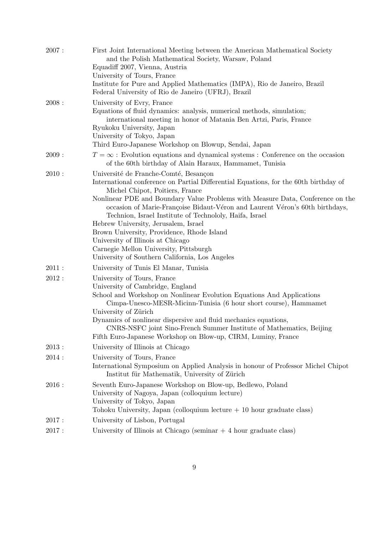| 2007: | First Joint International Meeting between the American Mathematical Society<br>and the Polish Mathematical Society, Warsaw, Poland<br>Equadiff 2007, Vienna, Austria<br>University of Tours, France<br>Institute for Pure and Applied Mathematics (IMPA), Rio de Janeiro, Brazil<br>Federal University of Rio de Janeiro (UFRJ), Brazil                                                                                                                                                                                                                                                                              |
|-------|----------------------------------------------------------------------------------------------------------------------------------------------------------------------------------------------------------------------------------------------------------------------------------------------------------------------------------------------------------------------------------------------------------------------------------------------------------------------------------------------------------------------------------------------------------------------------------------------------------------------|
| 2008: | University of Evry, France<br>Equations of fluid dynamics: analysis, numerical methods, simulation;<br>international meeting in honor of Matania Ben Artzi, Paris, France<br>Ryukoku University, Japan<br>University of Tokyo, Japan<br>Third Euro-Japanese Workshop on Blowup, Sendai, Japan                                                                                                                                                                                                                                                                                                                        |
| 2009: | $T = \infty$ : Evolution equations and dynamical systems : Conference on the occasion<br>of the 60th birthday of Alain Haraux, Hammamet, Tunisia                                                                                                                                                                                                                                                                                                                                                                                                                                                                     |
| 2010: | Université de Franche-Comté, Besançon<br>International conference on Partial Differential Equations, for the 60th birthday of<br>Michel Chipot, Poitiers, France<br>Nonlinear PDE and Boundary Value Problems with Measure Data, Conference on the<br>occasion of Marie-Françoise Bidaut-Véron and Laurent Véron's 60th birthdays,<br>Technion, Israel Institute of Technololy, Haifa, Israel<br>Hebrew University, Jerusalem, Israel<br>Brown University, Providence, Rhode Island<br>University of Illinois at Chicago<br>Carnegie Mellon University, Pittsburgh<br>University of Southern California, Los Angeles |
| 2011: | University of Tunis El Manar, Tunisia                                                                                                                                                                                                                                                                                                                                                                                                                                                                                                                                                                                |
| 2012: | University of Tours, France<br>University of Cambridge, England<br>School and Workshop on Nonlinear Evolution Equations And Applications<br>Cimpa-Unesco-MESR-Micinn-Tunisia (6 hour short course), Hammamet<br>University of Zürich<br>Dynamics of nonlinear dispersive and fluid mechanics equations,<br>CNRS-NSFC joint Sino-French Summer Institute of Mathematics, Beijing<br>Fifth Euro-Japanese Workshop on Blow-up, CIRM, Luminy, France                                                                                                                                                                     |
| 2013: | University of Illinois at Chicago                                                                                                                                                                                                                                                                                                                                                                                                                                                                                                                                                                                    |
| 2014: | University of Tours, France<br>International Symposium on Applied Analysis in honour of Professor Michel Chipot<br>Institut für Mathematik, University of Zürich                                                                                                                                                                                                                                                                                                                                                                                                                                                     |
| 2016: | Seventh Euro-Japanese Workshop on Blow-up, Bedlewo, Poland<br>University of Nagoya, Japan (colloquium lecture)<br>University of Tokyo, Japan<br>Tohoku University, Japan (colloquium lecture $+10$ hour graduate class)                                                                                                                                                                                                                                                                                                                                                                                              |
| 2017: | University of Lisbon, Portugal                                                                                                                                                                                                                                                                                                                                                                                                                                                                                                                                                                                       |
| 2017: | University of Illinois at Chicago (seminar $+4$ hour graduate class)                                                                                                                                                                                                                                                                                                                                                                                                                                                                                                                                                 |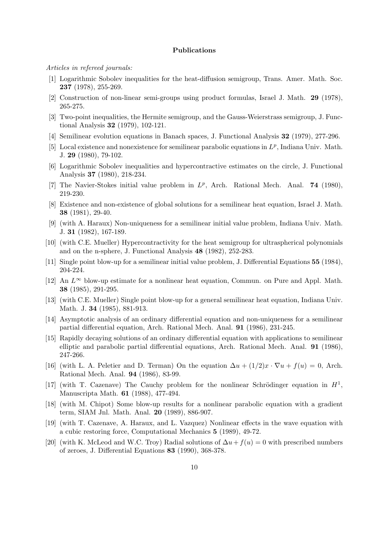#### Publications

Articles in refereed journals:

- [1] Logarithmic Sobolev inequalities for the heat-diffusion semigroup, Trans. Amer. Math. Soc. 237 (1978), 255-269.
- [2] Construction of non-linear semi-groups using product formulas, Israel J. Math. 29 (1978), 265-275.
- [3] Two-point inequalities, the Hermite semigroup, and the Gauss-Weierstrass semigroup, J. Functional Analysis 32 (1979), 102-121.
- [4] Semilinear evolution equations in Banach spaces, J. Functional Analysis 32 (1979), 277-296.
- [5] Local existence and nonexistence for semilinear parabolic equations in  $L^p$ , Indiana Univ. Math. J. 29 (1980), 79-102.
- [6] Logarithmic Sobolev inequalities and hypercontractive estimates on the circle, J. Functional Analysis 37 (1980), 218-234.
- [7] The Navier-Stokes initial value problem in  $L^p$ , Arch. Rational Mech. Anal. **74** (1980), 219-230.
- [8] Existence and non-existence of global solutions for a semilinear heat equation, Israel J. Math. 38 (1981), 29-40.
- [9] (with A. Haraux) Non-uniqueness for a semilinear initial value problem, Indiana Univ. Math. J. 31 (1982), 167-189.
- [10] (with C.E. Mueller) Hypercontractivity for the heat semigroup for ultraspherical polynomials and on the n-sphere, J. Functional Analysis 48 (1982), 252-283.
- [11] Single point blow-up for a semilinear initial value problem, J. Differential Equations 55 (1984), 204-224.
- [12] An  $L^{\infty}$  blow-up estimate for a nonlinear heat equation, Commun. on Pure and Appl. Math. 38 (1985), 291-295.
- [13] (with C.E. Mueller) Single point blow-up for a general semilinear heat equation, Indiana Univ. Math. J. 34 (1985), 881-913.
- [14] Asymptotic analysis of an ordinary differential equation and non-uniqueness for a semilinear partial differential equation, Arch. Rational Mech. Anal. 91 (1986), 231-245.
- [15] Rapidly decaying solutions of an ordinary differential equation with applications to semilinear elliptic and parabolic partial differential equations, Arch. Rational Mech. Anal. 91 (1986), 247-266.
- [16] (with L. A. Peletier and D. Terman) On the equation  $\Delta u + (1/2)x \cdot \nabla u + f(u) = 0$ , Arch. Rational Mech. Anal. 94 (1986), 83-99.
- [17] (with T. Cazenave) The Cauchy problem for the nonlinear Schrödinger equation in  $H<sup>1</sup>$ , Manuscripta Math. 61 (1988), 477-494.
- [18] (with M. Chipot) Some blow-up results for a nonlinear parabolic equation with a gradient term, SIAM Jnl. Math. Anal. 20 (1989), 886-907.
- [19] (with T. Cazenave, A. Haraux, and L. Vazquez) Nonlinear effects in the wave equation with a cubic restoring force, Computational Mechanics 5 (1989), 49-72.
- [20] (with K. McLeod and W.C. Troy) Radial solutions of  $\Delta u + f(u) = 0$  with prescribed numbers of zeroes, J. Differential Equations 83 (1990), 368-378.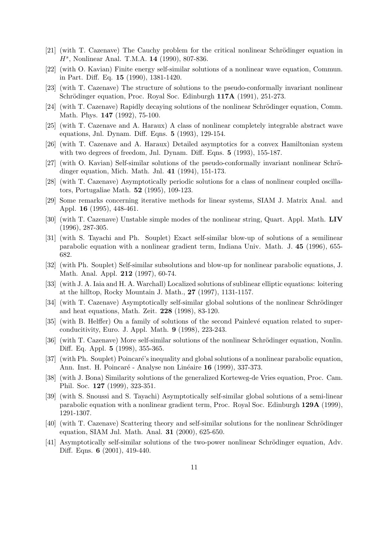- [21] (with T. Cazenave) The Cauchy problem for the critical nonlinear Schrödinger equation in H<sup>s</sup>, Nonlinear Anal. T.M.A. 14 (1990), 807-836.
- [22] (with O. Kavian) Finite energy self-similar solutions of a nonlinear wave equation, Commun. in Part. Diff. Eq. 15 (1990), 1381-1420.
- [23] (with T. Cazenave) The structure of solutions to the pseudo-conformally invariant nonlinear Schrödinger equation, Proc. Royal Soc. Edinburgh 117A (1991), 251-273.
- [24] (with T. Cazenave) Rapidly decaying solutions of the nonlinear Schrödinger equation, Comm. Math. Phys. 147 (1992), 75-100.
- [25] (with T. Cazenave and A. Haraux) A class of nonlinear completely integrable abstract wave equations, Jnl. Dynam. Diff. Eqns. 5 (1993), 129-154.
- [26] (with T. Cazenave and A. Haraux) Detailed asymptotics for a convex Hamiltonian system with two degrees of freedom, Jnl. Dynam. Diff. Eqns. **5** (1993), 155-187.
- [27] (with O. Kavian) Self-similar solutions of the pseudo-conformally invariant nonlinear Schrödinger equation, Mich. Math. Jnl. 41 (1994), 151-173.
- [28] (with T. Cazenave) Asymptotically periodic solutions for a class of nonlinear coupled oscillators, Portugaliae Math. 52 (1995), 109-123.
- [29] Some remarks concerning iterative methods for linear systems, SIAM J. Matrix Anal. and Appl. 16 (1995), 448-461.
- [30] (with T. Cazenave) Unstable simple modes of the nonlinear string, Quart. Appl. Math. LIV (1996), 287-305.
- [31] (with S. Tayachi and Ph. Souplet) Exact self-similar blow-up of solutions of a semilinear parabolic equation with a nonlinear gradient term, Indiana Univ. Math. J. 45 (1996), 655- 682.
- [32] (with Ph. Souplet) Self-similar subsolutions and blow-up for nonlinear parabolic equations, J. Math. Anal. Appl. 212 (1997), 60-74.
- [33] (with J. A. Iaia and H. A. Warchall) Localized solutions of sublinear elliptic equations: loitering at the hilltop, Rocky Mountain J. Math., 27 (1997), 1131-1157.
- [34] (with T. Cazenave) Asymptotically self-similar global solutions of the nonlinear Schrödinger and heat equations, Math. Zeit. 228 (1998), 83-120.
- [35] (with B. Helffer) On a family of solutions of the second Painlevé equation related to superconducitivity, Euro. J. Appl. Math. 9 (1998), 223-243.
- [36] (with T. Cazenave) More self-similar solutions of the nonlinear Schrödinger equation, Nonlin. Diff. Eq. Appl. 5 (1998), 355-365.
- [37] (with Ph. Souplet) Poincaré's inequality and global solutions of a nonlinear parabolic equation, Ann. Inst. H. Poincaré - Analyse non Linéaire 16 (1999), 337-373.
- [38] (with J. Bona) Similarity solutions of the generalized Korteweg-de Vries equation, Proc. Cam. Phil. Soc. 127 (1999), 323-351.
- [39] (with S. Snoussi and S. Tayachi) Asymptotically self-similar global solutions of a semi-linear parabolic equation with a nonlinear gradient term, Proc. Royal Soc. Edinburgh 129A (1999), 1291-1307.
- [40] (with T. Cazenave) Scattering theory and self-similar solutions for the nonlinear Schrödinger equation, SIAM Jnl. Math. Anal. 31 (2000), 625-650.
- [41] Asymptotically self-similar solutions of the two-power nonlinear Schrödinger equation, Adv. Diff. Eqns. 6 (2001), 419-440.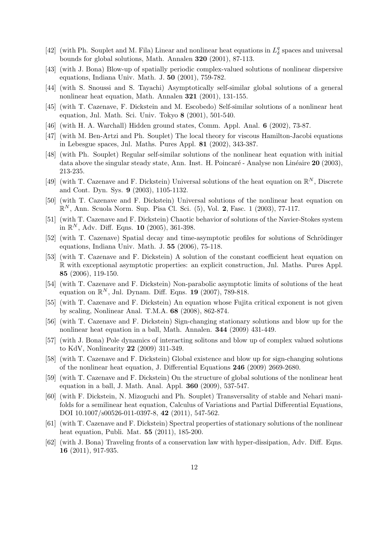- [42] (with Ph. Souplet and M. Fila) Linear and nonlinear heat equations in  $L^q_\delta$  $\frac{q}{\delta}$  spaces and universal bounds for global solutions, Math. Annalen 320 (2001), 87-113.
- [43] (with J. Bona) Blow-up of spatially periodic complex-valued solutions of nonlinear dispersive equations, Indiana Univ. Math. J. 50 (2001), 759-782.
- [44] (with S. Snoussi and S. Tayachi) Asymptotically self-similar global solutions of a general nonlinear heat equation, Math. Annalen 321 (2001), 131-155.
- [45] (with T. Cazenave, F. Dickstein and M. Escobedo) Self-similar solutions of a nonlinear heat equation, Jnl. Math. Sci. Univ. Tokyo 8 (2001), 501-540.
- [46] (with H. A. Warchall) Hidden ground states, Comm. Appl. Anal. 6 (2002), 73-87.
- [47] (with M. Ben-Artzi and Ph. Souplet) The local theory for viscous Hamilton-Jacobi equations in Lebesgue spaces, Jnl. Maths. Pures Appl. 81 (2002), 343-387.
- [48] (with Ph. Souplet) Regular self-similar solutions of the nonlinear heat equation with initial data above the singular steady state, Ann. Inst. H. Poincaré - Analyse non Linéaire 20 (2003), 213-235.
- [49] (with T. Cazenave and F. Dickstein) Universal solutions of the heat equation on  $\mathbb{R}^N$ , Discrete and Cont. Dyn. Sys. 9 (2003), 1105-1132.
- [50] (with T. Cazenave and F. Dickstein) Universal solutions of the nonlinear heat equation on  $\mathbb{R}^N$ , Ann. Scuola Norm. Sup. Pisa Cl. Sci. (5), Vol. 2, Fasc. 1 (2003), 77-117.
- [51] (with T. Cazenave and F. Dickstein) Chaotic behavior of solutions of the Navier-Stokes system in  $\mathbb{R}^N$ , Adv. Diff. Eqns. 10 (2005), 361-398.
- [52] (with T. Cazenave) Spatial decay and time-asymptotic profiles for solutions of Schrödinger equations, Indiana Univ. Math. J. 55 (2006), 75-118.
- [53] (with T. Cazenave and F. Dickstein) A solution of the constant coefficient heat equation on R with exceptional asymptotic properties: an explicit construction, Jnl. Maths. Pures Appl. 85 (2006), 119-150.
- [54] (with T. Cazenave and F. Dickstein) Non-parabolic asymptotic limits of solutions of the heat equation on  $\mathbb{R}^N$ , Jnl. Dynam. Diff. Eqns. 19 (2007), 789-818.
- [55] (with T. Cazenave and F. Dickstein) An equation whose Fujita critical exponent is not given by scaling, Nonlinear Anal. T.M.A. 68 (2008), 862-874.
- [56] (with T. Cazenave and F. Dickstein) Sign-changing stationary solutions and blow up for the nonlinear heat equation in a ball, Math. Annalen. 344 (2009) 431-449.
- [57] (with J. Bona) Pole dynamics of interacting solitons and blow up of complex valued solutions to KdV, Nonlinearity 22 (2009) 311-349.
- [58] (with T. Cazenave and F. Dickstein) Global existence and blow up for sign-changing solutions of the nonlinear heat equation, J. Differential Equations 246 (2009) 2669-2680.
- [59] (with T. Cazenave and F. Dickstein) On the structure of global solutions of the nonlinear heat equation in a ball, J. Math. Anal. Appl. 360 (2009), 537-547.
- [60] (with F. Dickstein, N. Mizoguchi and Ph. Souplet) Transversality of stable and Nehari manifolds for a semilinear heat equation, Calculus of Variations and Partial Differential Equations, DOI 10.1007/s00526-011-0397-8, 42 (2011), 547-562.
- [61] (with T. Cazenave and F. Dickstein) Spectral properties of stationary solutions of the nonlinear heat equation, Publi. Mat. 55 (2011), 185-200.
- [62] (with J. Bona) Traveling fronts of a conservation law with hyper-dissipation, Adv. Diff. Eqns. 16 (2011), 917-935.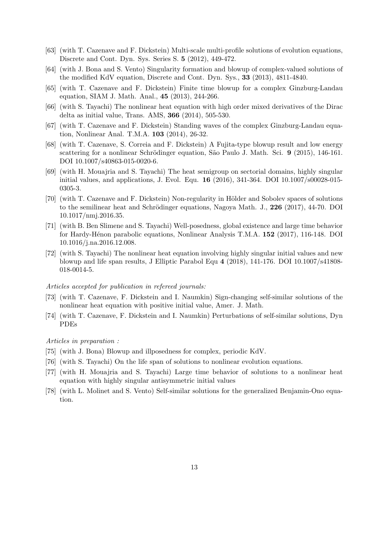- [63] (with T. Cazenave and F. Dickstein) Multi-scale multi-profile solutions of evolution equations, Discrete and Cont. Dyn. Sys. Series S. 5 (2012), 449-472.
- [64] (with J. Bona and S. Vento) Singularity formation and blowup of complex-valued solutions of the modified KdV equation, Discrete and Cont. Dyn. Sys., 33 (2013), 4811-4840.
- [65] (with T. Cazenave and F. Dickstein) Finite time blowup for a complex Ginzburg-Landau equation, SIAM J. Math. Anal., 45 (2013), 244-266.
- [66] (with S. Tayachi) The nonlinear heat equation with high order mixed derivatives of the Dirac delta as initial value, Trans. AMS, 366 (2014), 505-530.
- [67] (with T. Cazenave and F. Dickstein) Standing waves of the complex Ginzburg-Landau equation, Nonlinear Anal. T.M.A. 103 (2014), 26-32.
- [68] (with T. Cazenave, S. Correia and F. Dickstein) A Fujita-type blowup result and low energy scattering for a nonlinear Schrödinger equation, São Paulo J. Math. Sci.  $9$  (2015), 146-161. DOI 10.1007/s40863-015-0020-6.
- [69] (with H. Mouajria and S. Tayachi) The heat semigroup on sectorial domains, highly singular initial values, and applications, J. Evol. Equ. 16 (2016), 341-364. DOI 10.1007/s00028-015- 0305-3.
- [70] (with T. Cazenave and F. Dickstein) Non-regularity in Hölder and Sobolev spaces of solutions to the semilinear heat and Schrödinger equations, Nagoya Math. J., 226 (2017), 44-70. DOI 10.1017/nmj.2016.35.
- [71] (with B. Ben Slimene and S. Tayachi) Well-posedness, global existence and large time behavior for Hardy-H´enon parabolic equations, Nonlinear Analysis T.M.A. 152 (2017), 116-148. DOI 10.1016/j.na.2016.12.008.
- [72] (with S. Tayachi) The nonlinear heat equation involving highly singular initial values and new blowup and life span results, J Elliptic Parabol Equ 4 (2018), 141-176. DOI 10.1007/s41808- 018-0014-5.

#### Articles accepted for publication in refereed journals:

- [73] (with T. Cazenave, F. Dickstein and I. Naumkin) Sign-changing self-similar solutions of the nonlinear heat equation with positive initial value, Amer. J. Math.
- [74] (with T. Cazenave, F. Dickstein and I. Naumkin) Perturbations of self-similar solutions, Dyn PDEs

#### Articles in preparation :

- [75] (with J. Bona) Blowup and illposedness for complex, periodic KdV.
- [76] (with S. Tayachi) On the life span of solutions to nonlinear evolution equations.
- [77] (with H. Mouajria and S. Tayachi) Large time behavior of solutions to a nonlinear heat equation with highly singular antisymmetric initial values
- [78] (with L. Molinet and S. Vento) Self-similar solutions for the generalized Benjamin-Ono equation.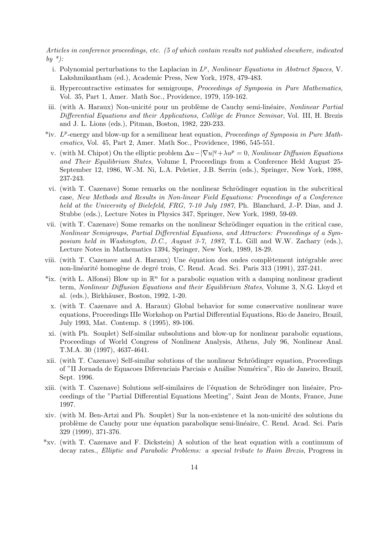Articles in conference proceedings, etc. (5 of which contain results not published elsewhere, indicated by  $*$ ):

- i. Polynomial perturbations to the Laplacian in  $L^p$ , Nonlinear Equations in Abstract Spaces, V. Lakshmikantham (ed.), Academic Press, New York, 1978, 479-483.
- ii. Hypercontractive estimates for semigroups, Proceedings of Symposia in Pure Mathematics, Vol. 35, Part 1, Amer. Math Soc., Providence, 1979, 159-162.
- iii. (with A. Haraux) Non-unicité pour un problème de Cauchy semi-linéaire, Nonlinear Partial Differential Equations and their Applications, Collège de France Seminar, Vol. III, H. Brezis and J. L. Lions (eds.), Pitman, Boston, 1982, 220-233.
- \*iv.  $L^p$ -energy and blow-up for a semilinear heat equation, *Proceedings of Symposia in Pure Math*ematics, Vol. 45, Part 2, Amer. Math Soc., Providence, 1986, 545-551.
- v. (with M. Chipot) On the elliptic problem  $\Delta u |\nabla u|^q + \lambda u^p = 0$ , Nonlinear Diffusion Equations and Their Equilibrium States, Volume I, Proceedings from a Conference Held August 25- September 12, 1986, W.-M. Ni, L.A. Peletier, J.B. Serrin (eds.), Springer, New York, 1988, 237-243.
- vi. (with T. Cazenave) Some remarks on the nonlinear Schrödinger equation in the subcritical case, New Methods and Results in Non-linear Field Equations: Proceedings of a Conference held at the University of Bielefeld, FRG, 7-10 July 1987, Ph. Blanchard, J.-P. Dias, and J. Stubbe (eds.), Lecture Notes in Physics 347, Springer, New York, 1989, 59-69.
- vii. (with T. Cazenave) Some remarks on the nonlinear Schrödinger equation in the critical case, Nonlinear Semigroups, Partial Differential Equations, and Attractors: Proceedings of a Symposium held in Washington, D.C., August 3-7, 1987, T.L. Gill and W.W. Zachary (eds.), Lecture Notes in Mathematics 1394, Springer, New York, 1989, 18-29.
- viii. (with T. Cazenave and A. Haraux) Une équation des ondes complètement intégrable avec non-linéarité homogène de degré trois, C. Rend. Acad. Sci. Paris 313 (1991), 237-241.
- \*ix. (with L. Alfonsi) Blow up in  $\mathbb{R}^n$  for a parabolic equation with a damping nonlinear gradient term, Nonlinear Diffusion Equations and their Equilibrium States, Volume 3, N.G. Lloyd et al. (eds.), Birkhäuser, Boston, 1992, 1-20.
- x. (with T. Cazenave and A. Haraux) Global behavior for some conservative nonlinear wave equations, Proceedings IIIe Workshop on Partial Differential Equations, Rio de Janeiro, Brazil, July 1993, Mat. Contemp. 8 (1995), 89-106.
- xi. (with Ph. Souplet) Self-similar subsolutions and blow-up for nonlinear parabolic equations, Proceedings of World Congress of Nonlinear Analysis, Athens, July 96, Nonlinear Anal. T.M.A. 30 (1997), 4637-4641.
- xii. (with T. Cazenave) Self-similar solutions of the nonlinear Schrödinger equation, Proceedings of "II Jornada de Equacoes Diferenciais Parciais e Análise Numérica", Rio de Janeiro, Brazil, Sept. 1996.
- xiii. (with T. Cazenave) Solutions self-similaires de l'équation de Schrödinger non linéaire, Proceedings of the "Partial Differential Equations Meeting", Saint Jean de Monts, France, June 1997.
- xiv. (with M. Ben-Artzi and Ph. Souplet) Sur la non-existence et la non-unicit´e des solutions du problème de Cauchy pour une équation parabolique semi-linéaire, C. Rend. Acad. Sci. Paris 329 (1999), 371-376.
- \*xv. (with T. Cazenave and F. Dickstein) A solution of the heat equation with a continuum of decay rates., Elliptic and Parabolic Problems: a special tribute to Haim Brezis, Progress in